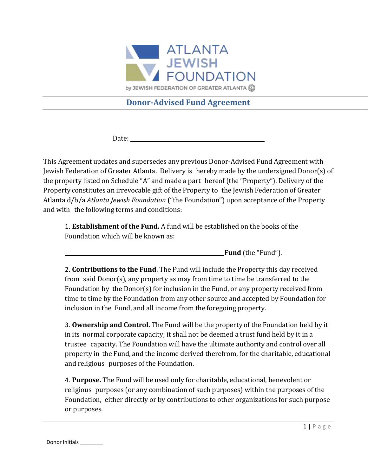

# **Donor-Advised Fund Agreement**

Date: the contract of the contract of the contract of the contract of the contract of the contract of the contract of the contract of the contract of the contract of the contract of the contract of the contract of the cont

This Agreement updates and supersedes any previous Donor-Advised Fund Agreement with Jewish Federation of Greater Atlanta. Delivery is hereby made by the undersigned Donor(s) of the property listed on Schedule "A" and made a part hereof (the "Property"). Delivery of the Property constitutes an irrevocable gift of the Property to the Jewish Federation of Greater Atlanta d/b/a *Atlanta Jewish Foundation* ("the Foundation") upon acceptance of the Property and with the following terms and conditions:

1. **Establishment of the Fund.** A fund will be established on the books of the Foundation which will be known as:

**Fund** (the "Fund").

2. **Contributions to the Fund**. The Fund will include the Property this day received from said Donor(s), any property as may from time to time be transferred to the Foundation by the Donor(s) for inclusion in the Fund, or any property received from time to time by the Foundation from any other source and accepted by Foundation for inclusion in the Fund, and all income from the foregoing property.

3. **Ownership and Control.** The Fund will be the property of the Foundation held by it in its normal corporate capacity; it shall not be deemed a trust fund held by it in a trustee capacity. The Foundation will have the ultimate authority and control over all property in the Fund, and the income derived therefrom, for the charitable, educational and religious purposes of the Foundation.

4. **Purpose.** The Fund will be used only for charitable, educational, benevolent or religious purposes (or any combination of such purposes) within the purposes of the Foundation, either directly or by contributions to other organizations for such purpose or purposes.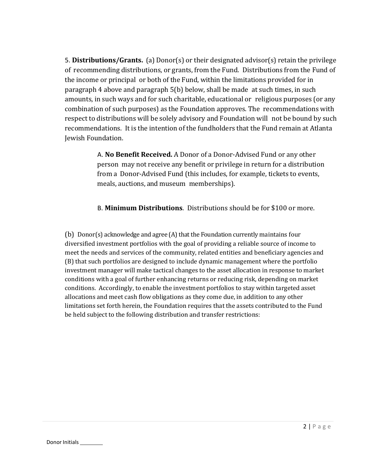5. **Distributions/Grants.** (a) Donor(s) or their designated advisor(s) retain the privilege of recommending distributions, or grants, from the Fund. Distributions from the Fund of the income or principal or both of the Fund, within the limitations provided for in paragraph 4 above and paragraph 5(b) below, shall be made at such times, in such amounts, in such ways and for such charitable, educational or religious purposes (or any combination of such purposes) as the Foundation approves. The recommendations with respect to distributions will be solely advisory and Foundation will not be bound by such recommendations. It is the intention of the fundholders that the Fund remain at Atlanta Jewish Foundation.

> A. **No Benefit Received.** A Donor of a Donor-Advised Fund or any other person may not receive any benefit or privilege in return for a distribution from a Donor-Advised Fund (this includes, for example, tickets to events, meals, auctions, and museum memberships).

B. **Minimum Distributions**. Distributions should be for \$100 or more.

(b) Donor(s) acknowledge and agree (A) that the Foundation currently maintains four diversified investment portfolios with the goal of providing a reliable source of income to meet the needs and services of the community, related entities and beneficiary agencies and (B) that such portfolios are designed to include dynamic management where the portfolio investment manager will make tactical changes to the asset allocation in response to market conditions with a goal of further enhancing returns or reducing risk, depending on market conditions. Accordingly, to enable the investment portfolios to stay within targeted asset allocations and meet cash flow obligations as they come due, in addition to any other limitations set forth herein, the Foundation requires that the assets contributed to the Fund be held subject to the following distribution and transfer restrictions: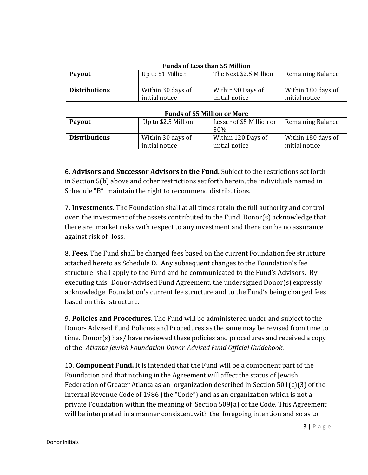| <b>Funds of Less than \$5 Million</b>                                                    |                   |                   |                    |
|------------------------------------------------------------------------------------------|-------------------|-------------------|--------------------|
| The Next \$2.5 Million<br>Up to \$1 Million<br><b>Remaining Balance</b><br><b>Payout</b> |                   |                   |                    |
|                                                                                          |                   |                   |                    |
| <b>Distributions</b>                                                                     | Within 30 days of | Within 90 Days of | Within 180 days of |
|                                                                                          | initial notice    | initial notice    | initial notice     |

| <b>Funds of \$5 Million or More</b>                                                          |                                     |                                      |                                      |
|----------------------------------------------------------------------------------------------|-------------------------------------|--------------------------------------|--------------------------------------|
| Lesser of \$5 Million or<br>Up to \$2.5 Million<br><b>Remaining Balance</b><br>Payout<br>50% |                                     |                                      |                                      |
| <b>Distributions</b>                                                                         | Within 30 days of<br>initial notice | Within 120 Days of<br>initial notice | Within 180 days of<br>initial notice |

6. **Advisors and Successor Advisors to the Fund.** Subject to the restrictions set forth in Section 5(b) above and other restrictions set forth herein, the individuals named in Schedule "B" maintain the right to recommend distributions.

7. **Investments.** The Foundation shall at all times retain the full authority and control over the investment of the assets contributed to the Fund. Donor(s) acknowledge that there are market risks with respect to any investment and there can be no assurance against risk of loss.

8. **Fees.** The Fund shall be charged fees based on the current Foundation fee structure attached hereto as Schedule D. Any subsequent changes to the Foundation's fee structure shall apply to the Fund and be communicated to the Fund's Advisors. By executing this Donor-Advised Fund Agreement, the undersigned Donor(s) expressly acknowledge Foundation's current fee structure and to the Fund's being charged fees based on this structure.

9. **Policies and Procedures**. The Fund will be administered under and subject to the Donor- Advised Fund Policies and Procedures as the same may be revised from time to time. Donor(s) has/ have reviewed these policies and procedures and received a copy of the *Atlanta Jewish Foundation Donor-Advised Fund Official Guidebook*.

10. **Component Fund.** It is intended that the Fund will be a component part of the Foundation and that nothing in the Agreement will affect the status of Jewish Federation of Greater Atlanta as an organization described in Section 501(c)(3) of the Internal Revenue Code of 1986 (the "Code") and as an organization which is not a private Foundation within the meaning of Section 509(a) of the Code. This Agreement will be interpreted in a manner consistent with the foregoing intention and so as to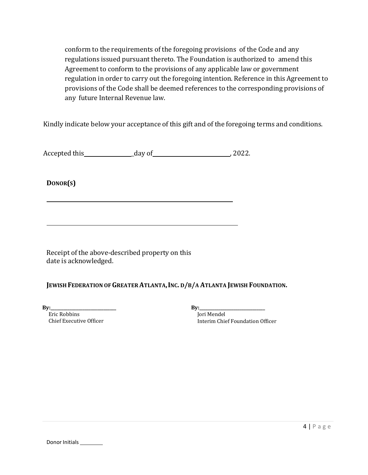conform to the requirements of the foregoing provisions of the Code and any regulations issued pursuant thereto. The Foundation is authorized to amend this Agreement to conform to the provisions of any applicable law or government regulation in order to carry out the foregoing intention. Reference in this Agreement to provisions of the Code shall be deemed references to the corresponding provisions of any future Internal Revenue law.

Kindly indicate below your acceptance of this gift and of the foregoing terms and conditions.

Accepted this \_day of , 2022.

**DONOR(S)**

Receipt of the above-described property on this date is acknowledged.

## JEWISH FEDERATION OF GREATER ATLANTA, INC. D/B/A ATLANTA JEWISH FOUNDATION.

**By:** 

 Eric Robbins Chief Executive Officer **By:\_\_\_\_\_\_\_\_\_\_\_\_\_\_\_\_\_\_\_\_\_\_\_\_\_\_\_\_\_\_\_** Jori Mendel Interim Chief Foundation Officer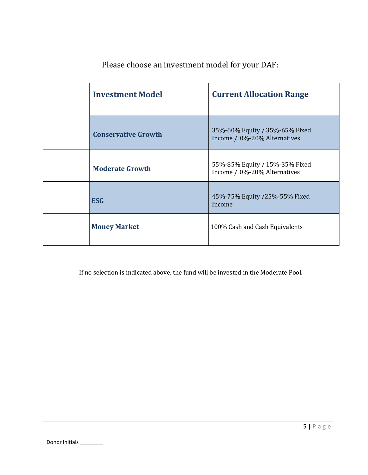| <b>Investment Model</b>    | <b>Current Allocation Range</b>                                |
|----------------------------|----------------------------------------------------------------|
| <b>Conservative Growth</b> | 35%-60% Equity / 35%-65% Fixed<br>Income / 0%-20% Alternatives |
| <b>Moderate Growth</b>     | 55%-85% Equity / 15%-35% Fixed<br>Income / 0%-20% Alternatives |
| <b>ESG</b>                 | 45%-75% Equity /25%-55% Fixed<br>Income                        |
| <b>Money Market</b>        | 100% Cash and Cash Equivalents                                 |

Please choose an investment model for your DAF:

If no selection is indicated above, the fund will be invested in the Moderate Pool.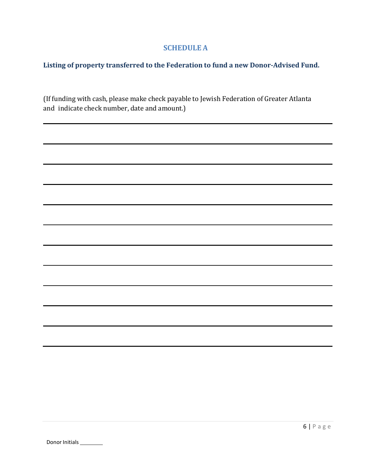## **SCHEDULE A**

## **Listing of property transferred to the Federation to fund a new Donor-Advised Fund.**

(If funding with cash, please make check payable to Jewish Federation of Greater Atlanta and indicate check number, date and amount.)

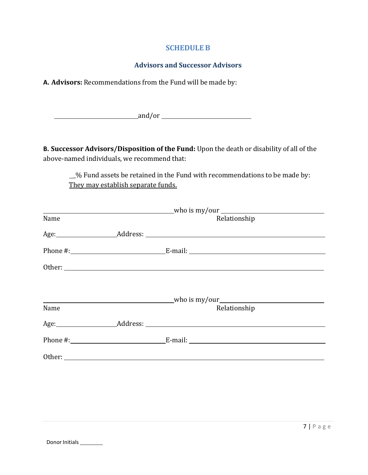#### **SCHEDULE B**

## **Advisors and Successor Advisors**

**A. Advisors:** Recommendations from the Fund will be made by:

example and/or example and/or example and  $\frac{1}{2}$  and  $\frac{1}{2}$  and  $\frac{1}{2}$  and  $\frac{1}{2}$  and  $\frac{1}{2}$  and  $\frac{1}{2}$  and  $\frac{1}{2}$  and  $\frac{1}{2}$  and  $\frac{1}{2}$  and  $\frac{1}{2}$  and  $\frac{1}{2}$  and  $\frac{1}{2}$  and  $\frac{1}{2}$  an

**B. Successor Advisors/Disposition of the Fund:** Upon the death or disability of all of the above-named individuals, we recommend that:

\_% Fund assets be retained in the Fund with recommendations to be made by: They may establish separate funds.

|      | $\blacksquare$ who is my/our $\blacksquare$                                                                                                                                                                                    |  |
|------|--------------------------------------------------------------------------------------------------------------------------------------------------------------------------------------------------------------------------------|--|
| Name | Relationship                                                                                                                                                                                                                   |  |
|      | Age: Address: Address: Address: Address: Address: Address: Address: Address: Address: Address: Address: Address: Address: Address: Address: Address: Address: Address: Address: Address: Address: Address: Address: Address: A |  |
|      |                                                                                                                                                                                                                                |  |
|      |                                                                                                                                                                                                                                |  |
|      |                                                                                                                                                                                                                                |  |
|      |                                                                                                                                                                                                                                |  |
| Name | Relationship                                                                                                                                                                                                                   |  |
|      |                                                                                                                                                                                                                                |  |
|      |                                                                                                                                                                                                                                |  |
|      |                                                                                                                                                                                                                                |  |
|      |                                                                                                                                                                                                                                |  |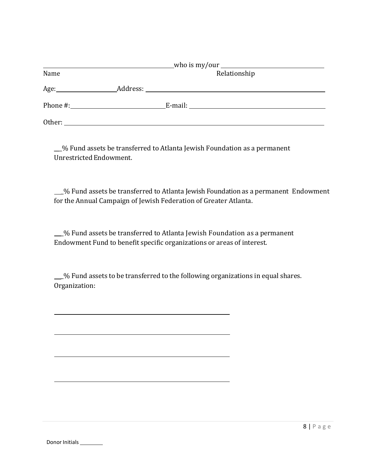| Name   | Relationship |
|--------|--------------|
| Age:   |              |
|        |              |
| Other: |              |

\_\_\_% Fund assets be transferred to Atlanta Jewish Foundation as a permanent Unrestricted Endowment.

 \_% Fund assets be transferred to Atlanta Jewish Foundation as a permanent Endowment for the Annual Campaign of Jewish Federation of Greater Atlanta.

 \_% Fund assets be transferred to Atlanta Jewish Foundation as a permanent Endowment Fund to benefit specific organizations or areas of interest.

 \_% Fund assets to be transferred to the following organizations in equal shares. Organization: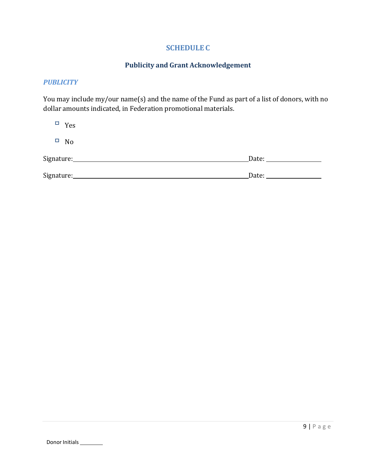## **SCHEDULE C**

## **Publicity and Grant Acknowledgement**

#### *PUBLICITY*

You may include my/our name(s) and the name of the Fund as part of a list of donors, with no dollar amounts indicated, in Federation promotional materials.

| П<br>Yes                           |       |
|------------------------------------|-------|
| $\Box$<br>No                       |       |
| Signature:________________________ | Date: |
| Signature:                         | Date: |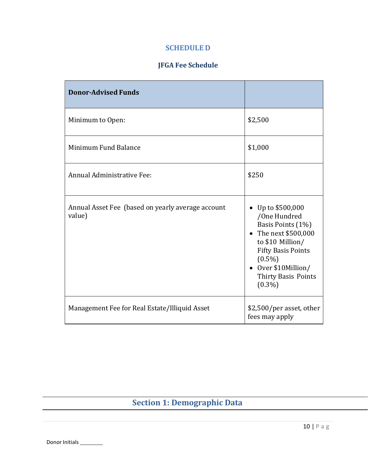## **SCHEDULE D**

# **JFGA Fee Schedule**

| <b>Donor-Advised Funds</b>                                  |                                                                                                                                                                                                          |
|-------------------------------------------------------------|----------------------------------------------------------------------------------------------------------------------------------------------------------------------------------------------------------|
| Minimum to Open:                                            | \$2,500                                                                                                                                                                                                  |
| Minimum Fund Balance                                        | \$1,000                                                                                                                                                                                                  |
| Annual Administrative Fee:                                  | \$250                                                                                                                                                                                                    |
| Annual Asset Fee (based on yearly average account<br>value) | • Up to $$500,000$<br>/One Hundred<br>Basis Points (1%)<br>• The next \$500,000<br>to \$10 Million/<br><b>Fifty Basis Points</b><br>$(0.5\%)$<br>• Over \$10Million/<br>Thirty Basis Points<br>$(0.3\%)$ |
| Management Fee for Real Estate/Illiquid Asset               | \$2,500/per asset, other<br>fees may apply                                                                                                                                                               |

# **Section 1: Demographic Data**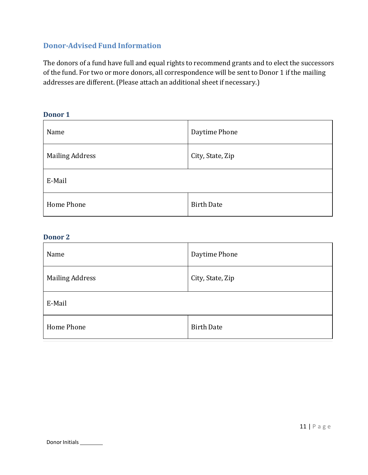## **Donor-Advised Fund Information**

The donors of a fund have full and equal rights to recommend grants and to elect the successors of the fund. For two or more donors, all correspondence will be sent to Donor 1 if the mailing addresses are different. (Please attach an additional sheet if necessary.)

#### **Donor 1**

| Name                   | Daytime Phone     |  |
|------------------------|-------------------|--|
| <b>Mailing Address</b> | City, State, Zip  |  |
| E-Mail                 |                   |  |
| Home Phone             | <b>Birth Date</b> |  |

#### **Donor 2**

I

| Name                   | Daytime Phone     |  |
|------------------------|-------------------|--|
| <b>Mailing Address</b> | City, State, Zip  |  |
| E-Mail                 |                   |  |
| Home Phone             | <b>Birth Date</b> |  |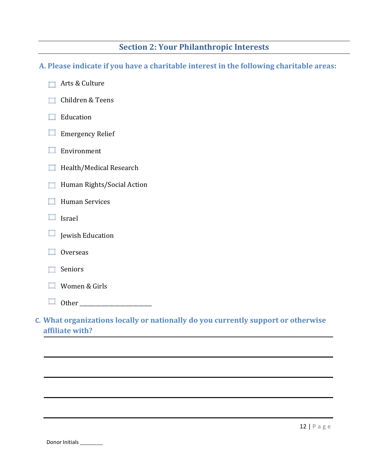# **Section 2: Your Philanthropic Interests**

**A. Please indicate if you have a charitable interest in the following charitable areas:** 

- Arts & Culture □ Children & Teens  $\Box$  Education  $\Box$  Emergency Relief  $\Box$  Environment  $\Box$  Health/Medical Research **Human Rights/Social Action**  $\Box$  Human Services  $\Box$  Israel  $\Box$  Jewish Education  $\Box$  Overseas Seniors Women & Girls
	- Other \_\_\_\_\_\_\_\_\_\_\_\_\_\_\_\_\_\_\_\_\_\_\_\_\_\_\_
- **C. What organizations locally or nationally do you currently support or otherwise affiliate with?**